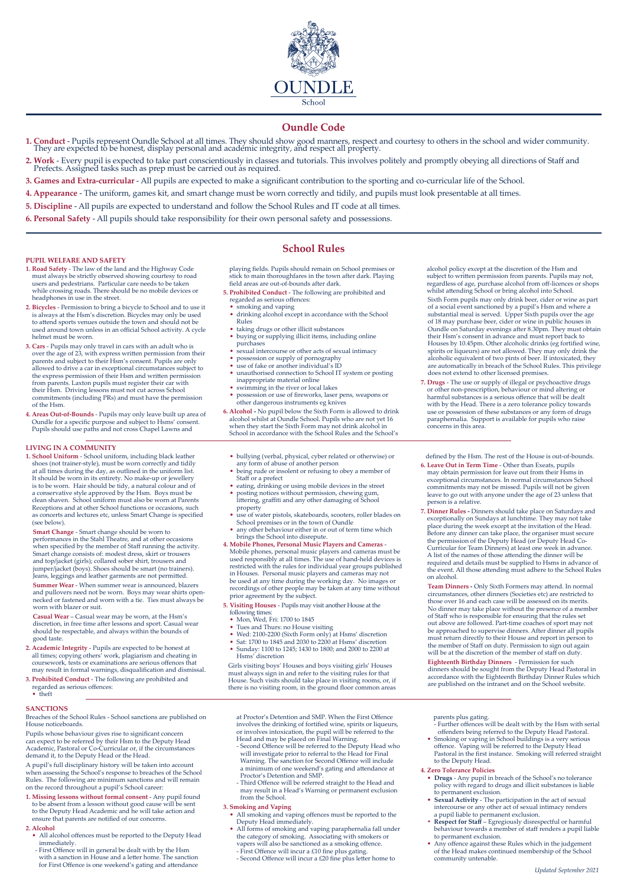

# **Oundle Code**

- 1. Conduct Pupils represent Oundle School at all times. They should show good manners, respect and courtesy to others in the school and wider community. They are expected to be honest, display personal and academic integ
- 2. Work Every pupil is expected to take part conscientiously in classes and tutorials. This involves politely and promptly obeying all directions of Staff and Prefects. Assigned tasks such as prep must be carried out as
- **3. Games and Extra-curricular** All pupils are expected to make a significant contribution to the sporting and co-curricular life of the School.
- **4. Appearance** The uniform, games kit, and smart change must be worn correctly and tidily, and pupils must look presentable at all times.
- **5. Discipline** All pupils are expected to understand and follow the School Rules and IT code at all times.
- **6. Personal Safety** All pupils should take responsibility for their own personal safety and possessions.

## **PUPIL WELFARE AND SAFETY**

- **1. Road Safety** The law of the land and the Highway Code must always be strictly observed showing courtesy to road users and pedestrians. Particular care needs to be taken while crossing roads. There should be no mobile
- **2. Bicycles** Permission to bring a bicycle to School and to use it is always at the Hsm's discretion. Bicycles may only be used to attend sports venues outside the town and should not be used around town unless in an official School activity. A cycle helmet must be worn.
- **3. Cars** Pupils may only travel in cars with an adult who is over the age of 23, with express written permission from their parents and subject to their Hsm's consent. Pupils are only allowed to drive a car in exceptional circumstances subject to the express permission of their Hsm and written permission from parents. Laxton pupils must register their car with their Hsm. Driving lessons must not cut across School commitments (including PRs) and must have the permission of the Hsm.
- **4. Areas Out-of-Bounds** Pupils may only leave built up area of Oundle for a specific purpose and subject to Hsms' consent. Pupils should use paths and not cross Chapel Lawns and

## **LIVING IN A COMMUNITY**

**1. School Uniform** - School uniform, including black leather shoes (not trainer-style), must be worn correctly and tidily at all times during the day, as outlined in the uniform list. It should be worn in its entirety. No make-up or jewellery is to be worn. Hair should be tidy, a natural colour and of a conservative style approved by the Hsm. Boys must be clean shaven. School uniform must also be worn at Parents Receptions and at other School functions or occasions, such as concerts and lectures etc, unless Smart Change is specified (see below).

**Smart Change** - Smart change should be worn to performances in the Stahl Theatre, and at other occasions when specified by the member of Staff running the activity. Smart change consists of: modest dress, skirt or trousers and top/jacket (girls); collared sober shirt, trousers and jumper/jacket (boys). Shoes should be smart (no trainers). Jeans, leggings and leather garments are not permitted. **Summer Wear** - When summer wear is announced, blazers and pullovers need not be worn. Boys may wear shirts open-necked or fastened and worn with a tie. Ties must always be worn with blazer or suit.

**Casual Wear** – Casual wear may be worn, at the Hsm's discretion, in free time after lessons and sport. Casual wear should be respectable, and always within the bounds of good taste.

- **2. Academic Integrity** Pupils are expected to be honest at all times; copying others' work, plagiarism and cheating in coursework, tests or examinations are serious offences that may result in formal warnings, disqualification and dismissal.
- **3. Prohibited Conduct** The following are prohibited and regarded as serious offences: • theft

#### **SANCTIONS**

Breaches of the School Rules - School sanctions are published on House noticeboards.

Pupils whose behaviour gives rise to significant concern can expect to be referred by their Hsm to the Deputy Head Academic, Pastoral or Co-Curricular or, if the circumstances demand it, to the Deputy Head or the Head.

A pupil's full disciplinary history will be taken into account when assessing the School's response to breaches of the School Rules. The following are minimum sanctions and will remain on the record throughout a pupil's School career:

- **1. Missing lessons without formal consent** Any pupil found to be absent from a lesson without good cause will be sent to the Deputy Head Academic and he will take action and ensure that parents are notified of our conce
- **2. Alcohol**
- All alcohol offences must be reported to the Deputy Head immediately.
- First Offence will in general be dealt with by the Hsm with a sanction in House and a letter home. The sanction for First Offence is one weekend's gating and attendance

# **School Rules**

playing fields. Pupils should remain on School premises or stick to main thoroughfares in the town after dark. Playing field areas are out-of-bounds after dark.

- **5. Prohibited Conduct** The following are prohibited and
- regarded as serious offences: • smoking and vaping
- drinking alcohol except in accordance with the School
- Rules taking drugs or other illicit substances
- buying or supplying illicit items, including online
- 
- purchases sexual intercourse or other acts of sexual intimacy possession or supply of pornography
- 
- use of fake or another individual's ID unauthorised connection to School IT system or posting inappropriate material online
- swimming in the river or local lakes • possession or use of fireworks, laser pens, weapons or other dangerous instruments eg knives
- **6. Alcohol -** No pupil below the Sixth Form is allowed to drink alcohol whilst at Oundle School. Pupils who are not yet 16 when they start the Sixth Form may not drink alcohol in School in accordance with the School Rules and the School's
- bullying (verbal, physical, cyber related or otherwise) or any form of abuse of another person being rude or insolent or refusing to obey a member of
- Staff or a prefect
- eating, drinking or using mobile devices in the street posting notices without permission, chewing gum, littering, graffiti and any other damaging of School
- property use of water pistols, skateboards, scooters, roller blades on
- School premises or in the town of Oundle any other behaviour either in or out of term time which
- brings the School into disrepute. **4. Mobile Phones, Personal Music Players and Cameras** Mobile phones, personal music players and cameras must be used responsibly at all times. The use of hand-held devices is
- restricted with the rules for individual year groups published<br>in Houses. Personal music players and cameras may not<br>be used at any time during the working day. No images or<br>recordings of other people may be taken at any t

**5. Visiting Houses** - Pupils may visit another House at the following times: • Mon, Wed, Fri: 1700 to 1845

- Tues and Thurs: no House visiting
- 
- Wed: 2100-2200 (Sixth Form only) at Hsms' discretion Sat: 1700 to 1845 and 2030 to 2200 at Hsms' discretion
- Sunday: 1100 to 1245; 1430 to 1800; and 2000 to 2200 at Hsms' discretion

Girls visiting boys' Houses and boys visiting girls' Houses must always sign in and refer to the visiting rules for that House. Such visits should take place in visiting rooms, or, if there is no visiting room, in the ground floor common areas

at Proctor's Detention and SMP. When the First Offence involves the drinking of fortified wine, spirits or liqueurs or involves intoxication, the pupil will be referred to the Head and may be placed on Final Warning.

- Second Offence will be referred to the Deputy Head who will investigate prior to referral to the Head for Final Warning. The sanction for Second Offence will include a minimum of one weekend's gating and attendance
- Proctor's Detention and SMP. - Third Offence will be referred straight to the Head and may result in a Head's Warning or permanent exclusion from the School.

# **3. Smoking and Vaping**

- All smoking and vaping offences must be reported to the Deputy Head immediately.
- All forms of smoking and vaping paraphernalia fall under the category of smoking. Associating with smokers or vapers will also be sanctioned as a smoking offence. - First Offence will incur a £10 fine plus gating.
- Second Offence will incur a £20 fine plus letter home to

alcohol policy except at the discretion of the Hsm and subject to written permission from parents. Pupils may not. regardless of age, purchase alcohol from off-licences or shops whilst attending School or bring alcohol into School. Sixth Form pupils may only drink beer, cider or wine as part of a social event sanctioned by a pupil's Hsm and where substantial meal is served. Upper Sixth pupils over the age<br>of 18 may purchase beer, cider or wine in public houses in<br>Oundle on Saturday evenings after 8.30pm. They must obtain<br>their Hsm's consent in advance and must repo spirits or liqueurs) are not allowed. They may only drink the alcoholic equivalent of two pints of beer. If intoxicated, they are automatically in breach of the School Rules. This privilege does not extend to other licensed premises.

**7. Drugs** - The use or supply of illegal or psychoactive drugs or other non-prescription, behaviour or mind altering or harmful substances is a serious offence that will be dealt with by the Head. There is a zero tolerance policy towards use or possession of these substances or any form of drugs paraphernalia. Support is available for pupils who raise concerns in this area.

defined by the Hsm. The rest of the House is out-of-bounds.

- **6. Leave Out in Term Time** Other than Exeats, pupils may obtain permission for leave out from their Hsms in exceptional circumstances. In normal circumstances School commitments may not be missed. Pupils will not be given leave to go out with anyone under the age of 23 unless that person is a relative.
- **7. Dinner Rules** Dinners should take place on Saturdays and exceptionally on Sundays at lunchtime. They may not take place during the week except at the invitation of the Head. Before any dinner can take place, the organiser must secure the permission of the Deputy Head (or Deputy Head Co-Curricular for Team Dinners) at least one week in advance. A list of the names of those attending the dinner will be required and details must be supplied to Hsms in advance of the event. All those attending must adhere to the School Rules on alcohol.

**Team Dinners -** Only Sixth Formers may attend. In normal circumstances, other dinners (Societies etc) are restricted to those over 16 and each case will be assessed on its merits. No dinner may take place without the presence of a member<br>of Staff who is responsible for ensuring that the rules set<br>above are followed. Part-time coaches of sport may not<br>be approached to supervise dinners. After dinner must return directly to their House and report in person to the member of Staff on duty. Permission to sign out again will be at the discretion of the member of staff on duty.

**Eighteenth Birthday Dinners** - Permission for such dinners should be sought from the Deputy Head Pastoral in accordance with the Eighteenth Birthday Dinner Rules which are published on the intranet and on the School website.

- parents plus gating. Further offences will be dealt with by the Hsm with serial offenders being referred to the Deputy Head Pastoral. • Smoking or vaping in School buildings is a very serious
- offence. Vaping will be referred to the Deputy Head Pastoral in the first instance. Smoking will referred straight to the Deputy Head.

## **4. Zero Tolerance Policies**

- **Drugs** Any pupil in breach of the School's no tolerance policy with regard to drugs and illicit substances is liable to permanent exclusion.
- **Sexual Activity** The participation in the act of sexual intercourse or any other act of sexual intimacy renders
- a pupil liable to permanent exclusion. **• Respect for Staff** Egregiously disrespectful or harmful behaviour towards a member of staff renders a pupil liable
- to permanent exclusion. Any offence against these Rules which in the judgement of the Head makes continued membership of the School community untenable.